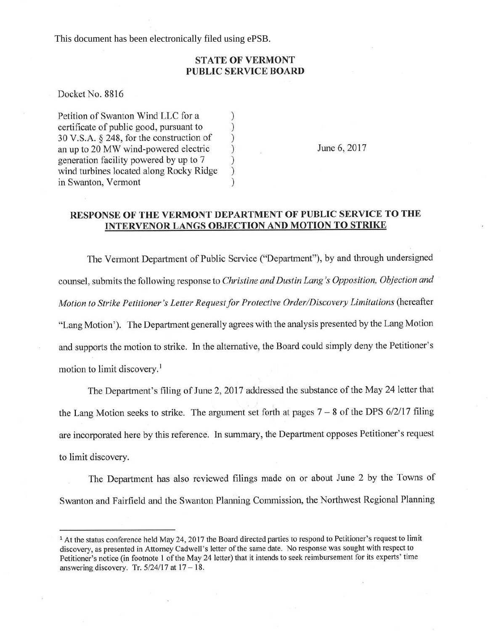This document has been electronically filed using ePSB.

## STATE OF VERMONT PUBLIC SERVICE BOARD

Docket No. 8816

Petition of Swanton Wind LLC for a () entity certificate of public good, pursuant to () certificate of public good, pursuant to <br>30 V.S.A. § 248, for the construction of ) 30 V.S.A. § 248, for the construction of <br>an up to 20 MW wind-powered electric (1) an up to 20 MW wind-powered electric <br>generation facility powered by up to 7 <br>wind turbines located along Rocky Ridge ) generation facility powered by up to 7 ) wind turbines located along Rocky Ridge ) in Swanton, Vermont

June 6,2017

## RESPONSE OF THE VERMONT DEPARTMENT OF PUBLIC SERVICE TO THE INTERVENOR LANGS OBJECTION AND MOTION TO STRIKE

The Vermont Department of Public Service ("Department"), by and through undersigned counsel, submits the following response to Christine and Dustin Lang's Opposition, Objection and Motion to Strike Petitioner's Letter Request for Protective Order/Discovery Limitations (hereafter "Lang Motion'). The Department generally agrees with the analysis presented by the Lang Motion and supports the motion to strike. In the alternative, the Board could simply deny the Petitioner's motion to limit discovery.<sup>1</sup>

The Department's filing of June 2, 2017 addressed the substance of the May 24 letter that the Lang Motion seeks to strike. The argument set forth at pages  $7 - 8$  of the DPS 6/2/17 filing are incorporated here by this reference. In summary, the Department opposes Petitioner's request to limit discovery.

The Department has also reviewed fîlings made on or about June 2 by the Towns of Swanton and Fairfield and the Swanton Planning Commission, the Northwest Regional Planning

<sup>&</sup>lt;sup>1</sup> At the status conference held May 24, 2017 the Board directed parties to respond to Petitioner's request to limit discovery, as presented in Attorney Cadwell's letter of the same date. No response was sought with respect to Petitioner's notice (in footnote 1 of the May 24 letter) that it intends to seek reimbursement for its experts' time answering discovery. Tr.  $5/24/17$  at  $17 - 18$ .